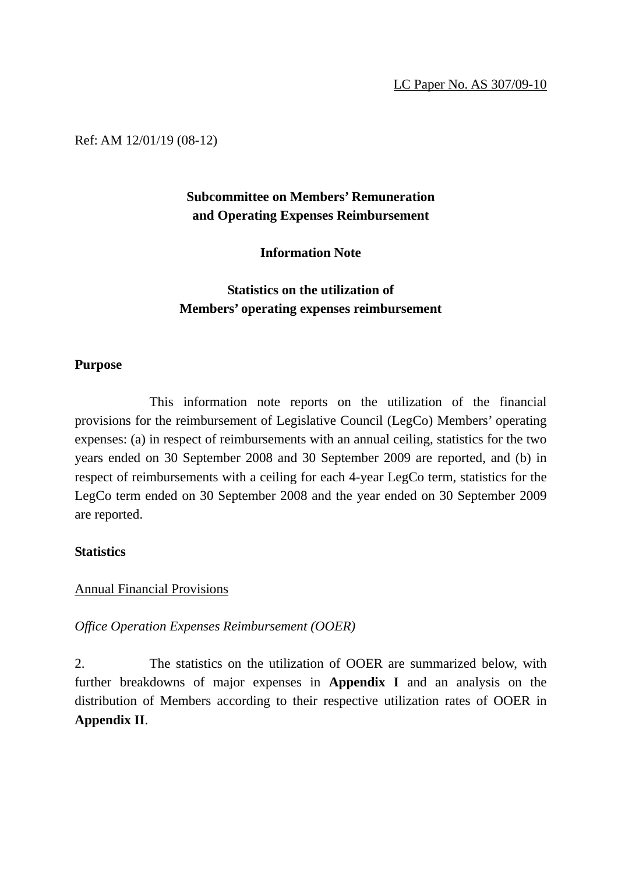Ref: AM 12/01/19 (08-12)

# **Subcommittee on Members' Remuneration and Operating Expenses Reimbursement**

**Information Note** 

# **Statistics on the utilization of Members' operating expenses reimbursement**

#### **Purpose**

This information note reports on the utilization of the financial provisions for the reimbursement of Legislative Council (LegCo) Members' operating expenses: (a) in respect of reimbursements with an annual ceiling, statistics for the two years ended on 30 September 2008 and 30 September 2009 are reported, and (b) in respect of reimbursements with a ceiling for each 4-year LegCo term, statistics for the LegCo term ended on 30 September 2008 and the year ended on 30 September 2009 are reported.

### **Statistics**

### Annual Financial Provisions

*Office Operation Expenses Reimbursement (OOER)* 

2. The statistics on the utilization of OOER are summarized below, with further breakdowns of major expenses in **Appendix I** and an analysis on the distribution of Members according to their respective utilization rates of OOER in **Appendix II**.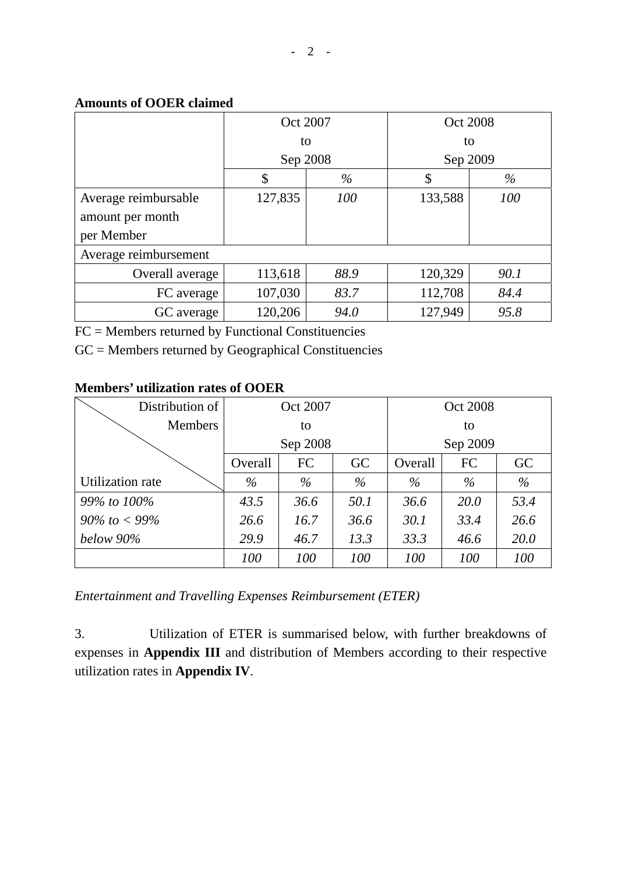### **Amounts of OOER claimed**

|                       | Oct 2007 |      | Oct 2008 |      |  |
|-----------------------|----------|------|----------|------|--|
|                       | to       |      | to       |      |  |
|                       | Sep 2008 |      | Sep 2009 |      |  |
|                       | \$       | $\%$ | \$       | $\%$ |  |
| Average reimbursable  | 127,835  | 100  | 133,588  | 100  |  |
| amount per month      |          |      |          |      |  |
| per Member            |          |      |          |      |  |
| Average reimbursement |          |      |          |      |  |
| Overall average       | 113,618  | 88.9 | 120,329  | 90.1 |  |
| FC average            | 107,030  | 83.7 | 112,708  | 84.4 |  |
| GC average            | 120,206  | 94.0 | 127,949  | 95.8 |  |

FC = Members returned by Functional Constituencies

GC = Members returned by Geographical Constituencies

### **Members' utilization rates of OOER**

| Distribution of   | Oct 2007            |      |      | Oct 2008 |      |      |  |
|-------------------|---------------------|------|------|----------|------|------|--|
| <b>Members</b>    |                     | to   |      | to       |      |      |  |
|                   | Sep 2008            |      |      | Sep 2009 |      |      |  |
|                   | FC<br>GC<br>Overall |      |      | Overall  | FC   | GC   |  |
| Utilization rate  | $\%$                | $\%$ | $\%$ | $\%$     | $\%$ | $\%$ |  |
| 99% to 100%       | 43.5                | 36.6 | 50.1 | 36.6     | 20.0 | 53.4 |  |
| $90\%$ to $<$ 99% | 26.6                | 16.7 | 36.6 | 30.1     | 33.4 | 26.6 |  |
| below 90%         | 29.9                | 46.7 | 13.3 | 33.3     | 46.6 | 20.0 |  |
|                   | 100                 | 100  | 100  | 100      | 100  | 100  |  |

*Entertainment and Travelling Expenses Reimbursement (ETER)* 

3. Utilization of ETER is summarised below, with further breakdowns of expenses in **Appendix III** and distribution of Members according to their respective utilization rates in **Appendix IV**.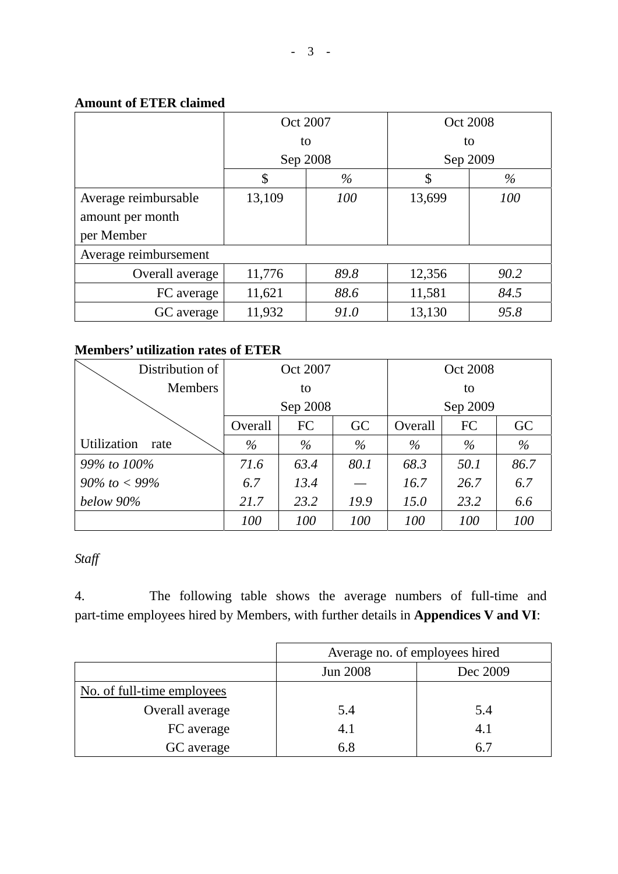### **Amount of ETER claimed**

|                       | Oct 2007 |          | Oct 2008 |          |  |
|-----------------------|----------|----------|----------|----------|--|
|                       |          | to       |          | to       |  |
|                       |          | Sep 2008 |          | Sep 2009 |  |
|                       | \$       | %        | \$       | %        |  |
| Average reimbursable  | 13,109   | 100      | 13,699   | 100      |  |
| amount per month      |          |          |          |          |  |
| per Member            |          |          |          |          |  |
| Average reimbursement |          |          |          |          |  |
| Overall average       | 11,776   | 89.8     | 12,356   | 90.2     |  |
| FC average            | 11,621   | 88.6     | 11,581   | 84.5     |  |
| GC average            | 11,932   | 91.0     | 13,130   | 95.8     |  |

# **Members' utilization rates of ETER**

| Distribution of     | Oct 2007            |      |      | Oct 2008 |      |      |  |
|---------------------|---------------------|------|------|----------|------|------|--|
| <b>Members</b>      |                     | to   |      | to       |      |      |  |
|                     | Sep 2008            |      |      | Sep 2009 |      |      |  |
|                     | FC<br>GC<br>Overall |      |      | Overall  | FC   | GC   |  |
| Utilization<br>rate | $\%$                | $\%$ | $\%$ | $\%$     | $\%$ | $\%$ |  |
| 99% to 100%         | 71.6                | 63.4 | 80.1 | 68.3     | 50.1 | 86.7 |  |
| $90\%$ to $< 99\%$  | 6.7                 | 13.4 |      | 16.7     | 26.7 | 6.7  |  |
| below 90%           | 21.7                | 23.2 | 19.9 | 15.0     | 23.2 | 6.6  |  |
|                     | 100                 | 100  | 100  | 100      | 100  | 100  |  |

# *Staff*

4. The following table shows the average numbers of full-time and part-time employees hired by Members, with further details in **Appendices V and VI**:

|                            | Average no. of employees hired |          |  |  |  |
|----------------------------|--------------------------------|----------|--|--|--|
|                            | <b>Jun 2008</b>                | Dec 2009 |  |  |  |
| No. of full-time employees |                                |          |  |  |  |
| Overall average            | 5.4                            | 5.4      |  |  |  |
| FC average                 | 4.1                            | 4.1      |  |  |  |
| GC average                 | 6.8                            | h.       |  |  |  |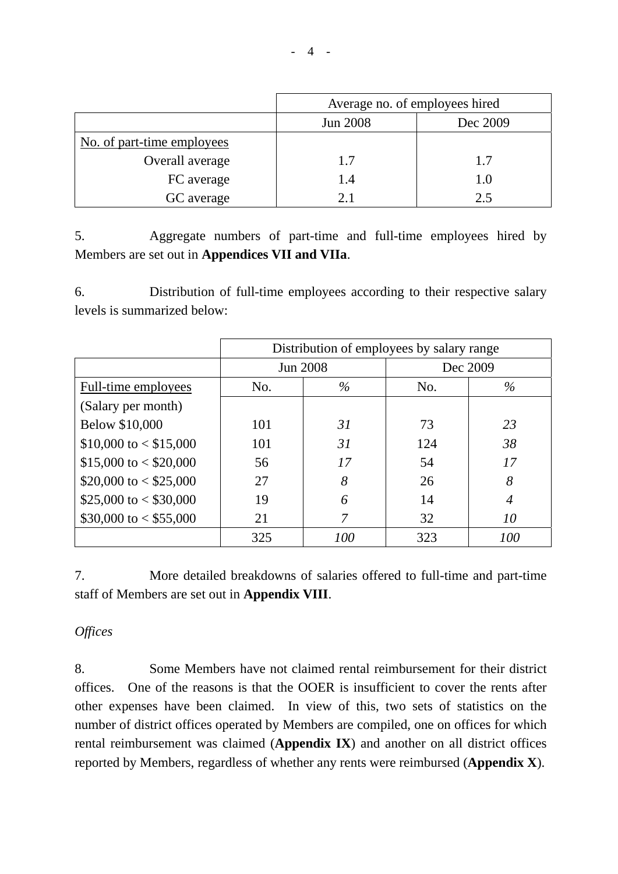|                            | Average no. of employees hired |     |  |  |  |  |
|----------------------------|--------------------------------|-----|--|--|--|--|
|                            | Jun 2008<br>Dec 2009           |     |  |  |  |  |
| No. of part-time employees |                                |     |  |  |  |  |
| Overall average            | 1.7                            | 1.7 |  |  |  |  |
| FC average                 | 1.4                            | 1.0 |  |  |  |  |
| GC average                 | 2.1                            | 2.5 |  |  |  |  |

5. Aggregate numbers of part-time and full-time employees hired by Members are set out in **Appendices VII and VIIa**.

6. Distribution of full-time employees according to their respective salary levels is summarized below:

|                          | Distribution of employees by salary range |                 |     |          |  |  |
|--------------------------|-------------------------------------------|-----------------|-----|----------|--|--|
|                          |                                           | <b>Jun 2008</b> |     | Dec 2009 |  |  |
| Full-time employees      | No.                                       | $\%$            | No. | $\%$     |  |  |
| (Salary per month)       |                                           |                 |     |          |  |  |
| Below \$10,000           | 101                                       | 31              | 73  | 23       |  |  |
| $$10,000$ to $< $15,000$ | 101                                       | 31              | 124 | 38       |  |  |
| $$15,000$ to < \$20,000  | 56                                        | 17              | 54  | 17       |  |  |
| \$20,000 to $<$ \$25,000 | 27                                        | 8               | 26  | 8        |  |  |
| \$25,000 to $<$ \$30,000 | 19                                        | 6               | 14  | 4        |  |  |
| \$30,000 to $<$ \$55,000 | 21                                        | 7               | 32  | 10       |  |  |
|                          | 325                                       | 100             | 323 | 100      |  |  |

7. More detailed breakdowns of salaries offered to full-time and part-time staff of Members are set out in **Appendix VIII**.

### *Offices*

8. Some Members have not claimed rental reimbursement for their district offices. One of the reasons is that the OOER is insufficient to cover the rents after other expenses have been claimed. In view of this, two sets of statistics on the number of district offices operated by Members are compiled, one on offices for which rental reimbursement was claimed (**Appendix IX**) and another on all district offices reported by Members, regardless of whether any rents were reimbursed (**Appendix X**).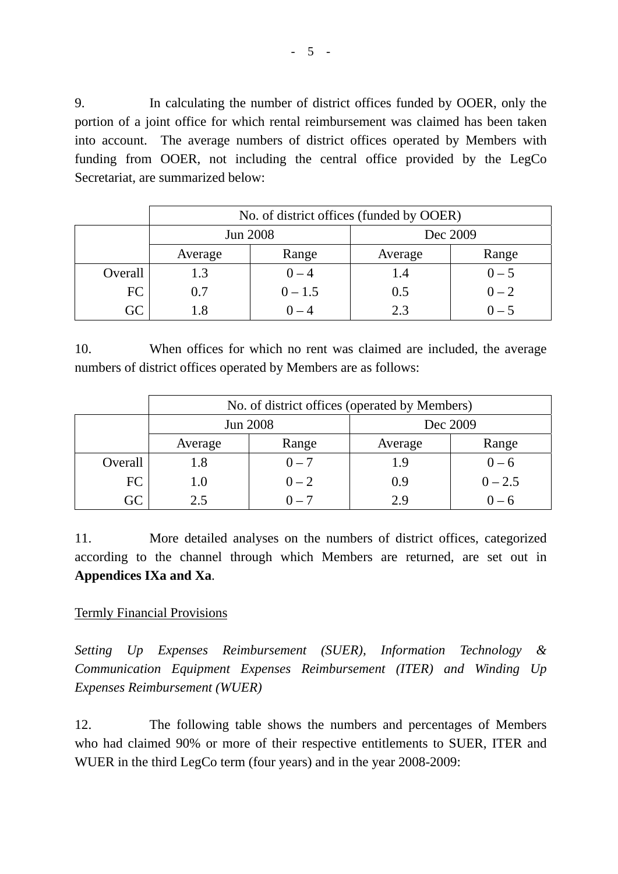9. In calculating the number of district offices funded by OOER, only the portion of a joint office for which rental reimbursement was claimed has been taken into account. The average numbers of district offices operated by Members with funding from OOER, not including the central office provided by the LegCo Secretariat, are summarized below:

|         | No. of district offices (funded by OOER) |           |          |         |  |  |  |
|---------|------------------------------------------|-----------|----------|---------|--|--|--|
|         |                                          | Jun 2008  | Dec 2009 |         |  |  |  |
|         | Average                                  | Range     | Average  | Range   |  |  |  |
| Overall | 1.3                                      | $0 - 4$   | 1.4      | $0 - 5$ |  |  |  |
| FC      | 0.7                                      | $0 - 1.5$ | 0.5      | $0 - 2$ |  |  |  |
| GC      |                                          | $0 - 4$   | う 3      | $0 - 5$ |  |  |  |

10. When offices for which no rent was claimed are included, the average numbers of district offices operated by Members are as follows:

|            | No. of district offices (operated by Members) |                 |          |           |  |  |  |
|------------|-----------------------------------------------|-----------------|----------|-----------|--|--|--|
|            |                                               | <b>Jun 2008</b> | Dec 2009 |           |  |  |  |
|            | Average                                       | Range           |          | Range     |  |  |  |
| Overall    | 1.8                                           | $0 - 7$         | 1.9      | $0 - 6$   |  |  |  |
| FC         | 1.0                                           | $0 - 2$         | 0.9      | $0 - 2.5$ |  |  |  |
| $\Omega C$ | 2.5                                           | $0 - 7$         | 2.9      | $0 - 6$   |  |  |  |

11. More detailed analyses on the numbers of district offices, categorized according to the channel through which Members are returned, are set out in **Appendices IXa and Xa**.

### Termly Financial Provisions

*Setting Up Expenses Reimbursement (SUER), Information Technology & Communication Equipment Expenses Reimbursement (ITER) and Winding Up Expenses Reimbursement (WUER)* 

12. The following table shows the numbers and percentages of Members who had claimed 90% or more of their respective entitlements to SUER, ITER and WUER in the third LegCo term (four years) and in the year 2008-2009: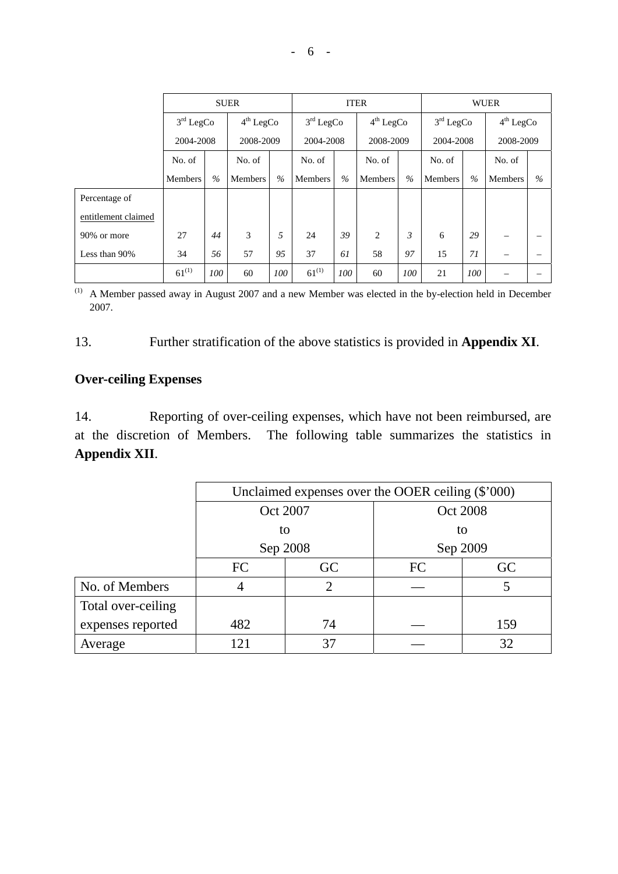|                     | <b>SUER</b>    |             |           | <b>ITER</b>           |                |                                      | <b>WUER</b>    |      |                       |      |                       |               |
|---------------------|----------------|-------------|-----------|-----------------------|----------------|--------------------------------------|----------------|------|-----------------------|------|-----------------------|---------------|
|                     |                | $3rd$ LegCo |           | 4 <sup>th</sup> LegCo |                | 4 <sup>th</sup> LegCo<br>$3rd$ LegCo |                |      | 3 <sup>rd</sup> LegCo |      | 4 <sup>th</sup> LegCo |               |
|                     | 2004-2008      |             | 2008-2009 |                       | 2004-2008      |                                      | 2008-2009      |      | 2004-2008             |      | 2008-2009             |               |
|                     | No. of         |             | No. of    |                       | No. of         |                                      | No. of         |      | No. of                |      | No. of                |               |
|                     | <b>Members</b> | $\%$        | Members   | $\%$                  | <b>Members</b> | $\frac{0}{0}$                        | <b>Members</b> | $\%$ | <b>Members</b>        | $\%$ | <b>Members</b>        | $\frac{0}{0}$ |
| Percentage of       |                |             |           |                       |                |                                      |                |      |                       |      |                       |               |
| entitlement claimed |                |             |           |                       |                |                                      |                |      |                       |      |                       |               |
| 90% or more         | 27             | 44          | 3         | 5                     | 24             | 39                                   | $\overline{2}$ | 3    | 6                     | 29   |                       |               |
| Less than 90%       | 34             | 56          | 57        | 95                    | 37             | 61                                   | 58             | 97   | 15                    | 71   |                       |               |
|                     | $61^{(1)}$     | 100         | 60        | 100                   | $61^{(1)}$     | 100                                  | 60             | 100  | 21                    | 100  |                       |               |

(1) A Member passed away in August 2007 and a new Member was elected in the by-election held in December 2007.

#### 13. Further stratification of the above statistics is provided in **Appendix XI**.

### **Over-ceiling Expenses**

14. Reporting of over-ceiling expenses, which have not been reimbursed, are at the discretion of Members. The following table summarizes the statistics in **Appendix XII**.

|                    | Unclaimed expenses over the OOER ceiling $(\$'000)$ |                |           |     |  |  |
|--------------------|-----------------------------------------------------|----------------|-----------|-----|--|--|
|                    |                                                     | Oct 2007       | Oct 2008  |     |  |  |
|                    |                                                     | to             | to        |     |  |  |
|                    |                                                     | Sep 2008       | Sep 2009  |     |  |  |
|                    | FC                                                  | GC             | <b>FC</b> |     |  |  |
| No. of Members     |                                                     | $\overline{2}$ |           | 5   |  |  |
| Total over-ceiling |                                                     |                |           |     |  |  |
| expenses reported  | 482                                                 | 74             |           | 159 |  |  |
| Average            | 121                                                 | 37             |           | 32  |  |  |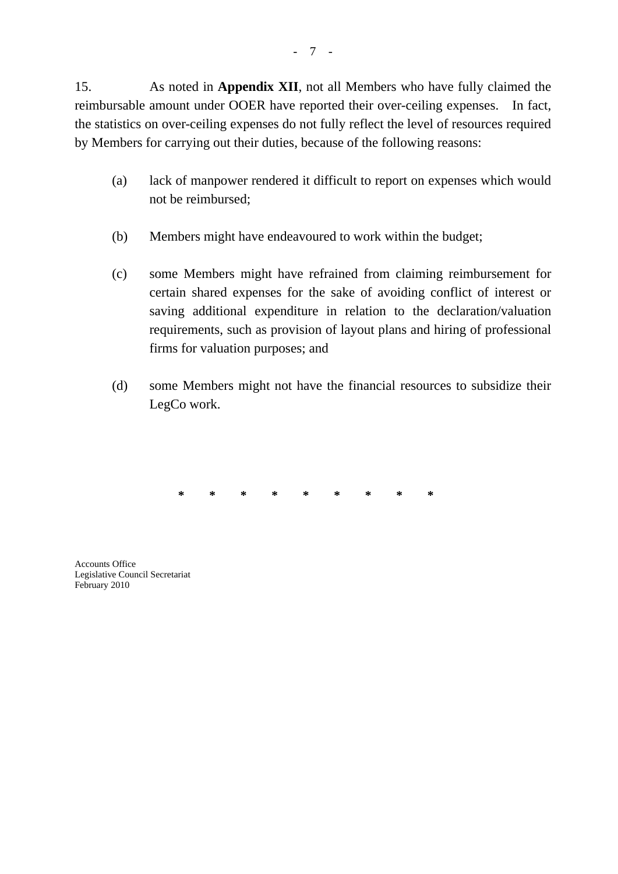15. As noted in **Appendix XII**, not all Members who have fully claimed the reimbursable amount under OOER have reported their over-ceiling expenses. In fact, the statistics on over-ceiling expenses do not fully reflect the level of resources required by Members for carrying out their duties, because of the following reasons:

- (a) lack of manpower rendered it difficult to report on expenses which would not be reimbursed;
- (b) Members might have endeavoured to work within the budget;
- (c) some Members might have refrained from claiming reimbursement for certain shared expenses for the sake of avoiding conflict of interest or saving additional expenditure in relation to the declaration/valuation requirements, such as provision of layout plans and hiring of professional firms for valuation purposes; and
- (d) some Members might not have the financial resources to subsidize their LegCo work.

**\* \* \* \* \* \* \* \* \*** 

Accounts Office Legislative Council Secretariat February 2010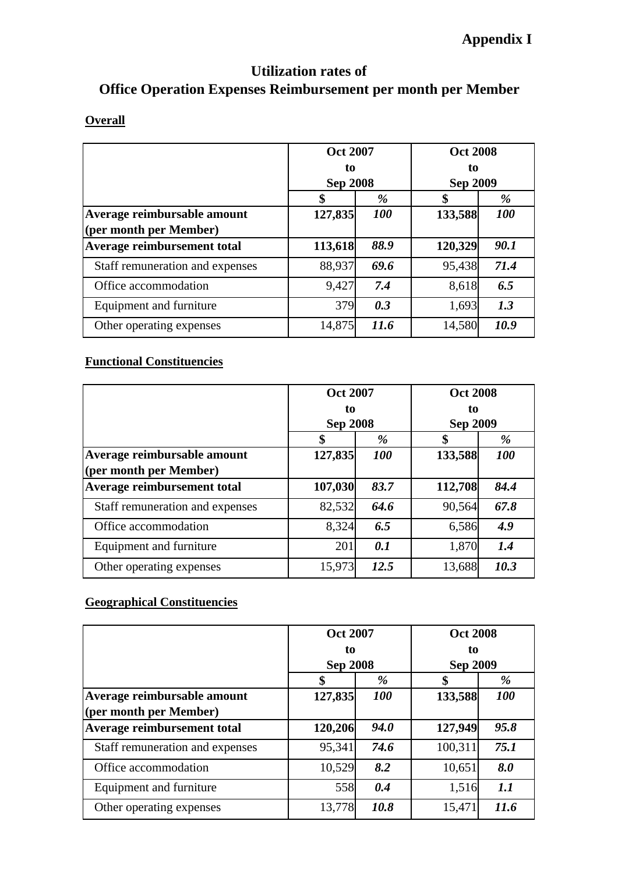# **Utilization rates of Office Operation Expenses Reimbursement per month per Member**

#### **Overall**

|                                                       | <b>Oct 2007</b><br>to<br><b>Sep 2008</b> |            | <b>Oct 2008</b><br>to<br><b>Sep 2009</b> |            |
|-------------------------------------------------------|------------------------------------------|------------|------------------------------------------|------------|
|                                                       |                                          | $\%$       | \$                                       | %          |
| Average reimbursable amount<br>(per month per Member) | 127,835                                  | <b>100</b> | 133,588                                  | <b>100</b> |
| Average reimbursement total                           | 113,618                                  | 88.9       | 120,329                                  | 90.1       |
| Staff remuneration and expenses                       | 88,937                                   | 69.6       | 95,438                                   | 71.4       |
| Office accommodation                                  | 9,427                                    | 7.4        | 8,618                                    | 6.5        |
| Equipment and furniture                               | 379                                      | 0.3        | 1,693                                    | 1.3        |
| Other operating expenses                              | 14,875                                   | 11.6       | 14,580                                   | 10.9       |

# **Functional Constituencies**

|                                 | <b>Oct 2007</b> |            | <b>Oct 2008</b><br>to<br><b>Sep 2009</b> |            |  |
|---------------------------------|-----------------|------------|------------------------------------------|------------|--|
|                                 | to              |            |                                          |            |  |
|                                 | <b>Sep 2008</b> |            |                                          |            |  |
|                                 | \$              | %          | \$                                       | %          |  |
| Average reimbursable amount     | 127,835         | <b>100</b> | 133,588                                  | <b>100</b> |  |
| (per month per Member)          |                 |            |                                          |            |  |
| Average reimbursement total     | 107,030         | 83.7       | 112,708                                  | 84.4       |  |
| Staff remuneration and expenses | 82,532          | 64.6       | 90,564                                   | 67.8       |  |
| Office accommodation            | 8,324           | 6.5        | 6,586                                    | 4.9        |  |
| Equipment and furniture         | 201             | 0.1        | 1,870                                    | 1.4        |  |
| Other operating expenses        | 15,973          | 12.5       | 13,688                                   | 10.3       |  |

### **Geographical Constituencies**

|                                                       | <b>Oct 2007</b><br>to<br><b>Sep 2008</b> |            | <b>Oct 2008</b><br>to<br><b>Sep 2009</b> |            |  |
|-------------------------------------------------------|------------------------------------------|------------|------------------------------------------|------------|--|
|                                                       | \$                                       | $\%$       | \$                                       | %          |  |
| Average reimbursable amount<br>(per month per Member) | 127,835                                  | <i>100</i> | 133,588                                  | <b>100</b> |  |
| Average reimbursement total                           | 120,206                                  | 94.0       | 127,949                                  | 95.8       |  |
| Staff remuneration and expenses                       | 95,341                                   | 74.6       | 100,311                                  | 75.1       |  |
| Office accommodation                                  | 10,529                                   | 8.2        | 10,651                                   | 8.0        |  |
| Equipment and furniture                               | 558                                      | 0.4        | 1,516                                    | 1.1        |  |
| Other operating expenses                              | 13,778                                   | 10.8       | 15,471                                   | 11.6       |  |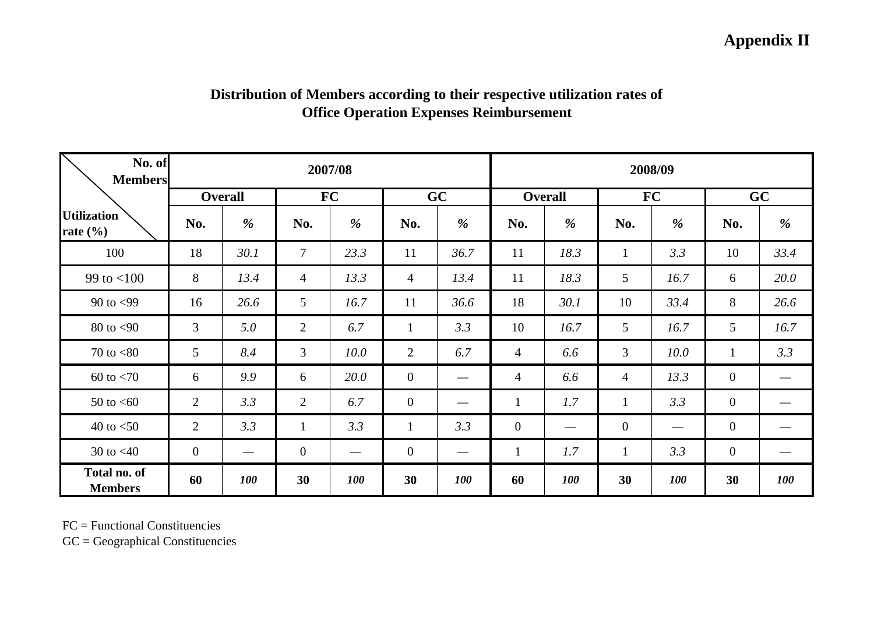# **Appendix II**

| No. of<br><b>Members</b>           | 2007/08        |                                 |                  | 2008/09                       |                |                                 |                |                |                 |            |                  |            |
|------------------------------------|----------------|---------------------------------|------------------|-------------------------------|----------------|---------------------------------|----------------|----------------|-----------------|------------|------------------|------------|
|                                    |                | <b>Overall</b>                  |                  | <b>FC</b>                     |                | GC                              |                | <b>Overall</b> |                 | <b>FC</b>  |                  | GC         |
| <b>Utilization</b><br>rate $(\% )$ | No.            | %                               | No.              | %                             | No.            | %                               | No.            | %              | No.             | %          | No.              | %          |
| 100                                | 18             | 30.1                            | $\overline{7}$   | 23.3                          | 11             | 36.7                            | 11             | 18.3           | $\mathbf{1}$    | 3.3        | 10               | 33.4       |
| 99 to $< 100$                      | 8              | 13.4                            | $\overline{4}$   | 13.3                          | $\overline{4}$ | 13.4                            | 11             | 18.3           | $5\overline{)}$ | 16.7       | 6                | 20.0       |
| 90 to $<$ 99                       | 16             | 26.6                            | 5                | 16.7                          | 11             | 36.6                            | 18             | 30.1           | 10              | 33.4       | 8                | 26.6       |
| $80$ to $< 90$                     | 3              | 5.0                             | $\overline{2}$   | 6.7                           | $\mathbf{1}$   | 3.3                             | 10             | 16.7           | 5               | 16.7       | 5                | 16.7       |
| 70 to $< 80$                       | 5              | 8.4                             | 3                | 10.0                          | 2              | 6.7                             | $\overline{4}$ | 6.6            | 3               | 10.0       | $\mathbf{1}$     | 3.3        |
| $60$ to $< 70$                     | 6              | 9.9                             | 6                | 20.0                          | $\overline{0}$ |                                 | 4              | 6.6            | 4               | 13.3       | $\overline{0}$   |            |
| 50 to $<$ 60                       | $\overline{2}$ | 3.3                             | $\overline{2}$   | 6.7                           | $\overline{0}$ | $\hspace{0.1mm}-\hspace{0.1mm}$ | $\mathbf{1}$   | 1.7            | $\mathbf{1}$    | 3.3        | $\mathbf{0}$     |            |
| 40 to $<$ 50                       | 2              | 3.3                             | $\mathbf{1}$     | 3.3                           | $\mathbf{1}$   | 3.3                             | $\overline{0}$ |                | $\overline{0}$  |            | $\overline{0}$   |            |
| 30 to $<$ 40                       | $\overline{0}$ | $\hspace{0.1mm}-\hspace{0.1mm}$ | $\boldsymbol{0}$ | $\overbrace{\phantom{aaaaa}}$ | $\overline{0}$ |                                 | $\mathbf{1}$   | 1.7            | $\mathbf{1}$    | 3.3        | $\boldsymbol{0}$ | —          |
| Total no. of<br><b>Members</b>     | 60             | <b>100</b>                      | 30               | <b>100</b>                    | 30             | <b>100</b>                      | 60             | <b>100</b>     | 30              | <b>100</b> | 30               | <b>100</b> |

# **Distribution of Members according to their respective utilization rates of Office Operation Expenses Reimbursement**

FC = Functional Constituencies

 $GC = Geographical$  Constituencies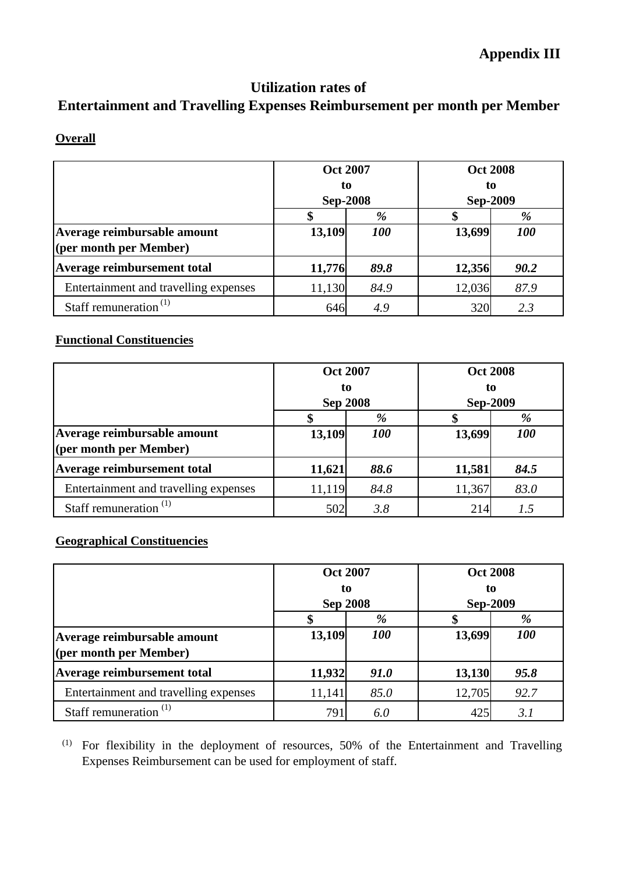# **Utilization rates of**

# **Entertainment and Travelling Expenses Reimbursement per month per Member**

**Overall**

|                                       | <b>Oct 2007</b> |            | <b>Oct 2008</b> |            |  |
|---------------------------------------|-----------------|------------|-----------------|------------|--|
|                                       | to              |            | to              |            |  |
|                                       | <b>Sep-2008</b> |            | <b>Sep-2009</b> |            |  |
|                                       |                 | %          |                 | %          |  |
| Average reimbursable amount           | 13,109          | <b>100</b> | 13,699          | <b>100</b> |  |
| (per month per Member)                |                 |            |                 |            |  |
| Average reimbursement total           | 11,776          | 89.8       | 12,356          | 90.2       |  |
| Entertainment and travelling expenses | 11,130          | 84.9       | 12,036          | 87.9       |  |
| Staff remuneration $^{(1)}$           | 646             | 4.9        | 320             | 2.3        |  |

# **Functional Constituencies**

|                                                       | <b>Oct 2007</b><br>to<br><b>Sep 2008</b> |            | <b>Oct 2008</b><br>to<br><b>Sep-2009</b> |            |  |
|-------------------------------------------------------|------------------------------------------|------------|------------------------------------------|------------|--|
|                                                       |                                          | %          |                                          | %          |  |
| Average reimbursable amount<br>(per month per Member) | 13,109                                   | <b>100</b> | 13,699                                   | <b>100</b> |  |
| Average reimbursement total                           | 11,621                                   | 88.6       | 11,581                                   | 84.5       |  |
| Entertainment and travelling expenses                 | 11,119                                   | 84.8       | 11,367                                   | 83.0       |  |
| Staff remuneration $(1)$                              | 502                                      | 3.8        | 214                                      | 1.5        |  |

# **Geographical Constituencies**

|                                                       | <b>Oct 2007</b><br>to<br><b>Sep 2008</b> |            | <b>Oct 2008</b><br>to<br><b>Sep-2009</b> |            |  |
|-------------------------------------------------------|------------------------------------------|------------|------------------------------------------|------------|--|
|                                                       |                                          | %          |                                          | %          |  |
| Average reimbursable amount<br>(per month per Member) | 13,109                                   | <b>100</b> | 13,699                                   | <b>100</b> |  |
| Average reimbursement total                           | 11,932                                   | 91.0       | 13,130                                   | 95.8       |  |
| Entertainment and travelling expenses                 | 11,141                                   | 85.0       | 12,705                                   | 92.7       |  |
| Staff remuneration $(1)$                              | 791                                      | 6.0        | 425                                      | 3.1        |  |

(1) For flexibility in the deployment of resources, 50% of the Entertainment and Travelling Expenses Reimbursement can be used for employment of staff.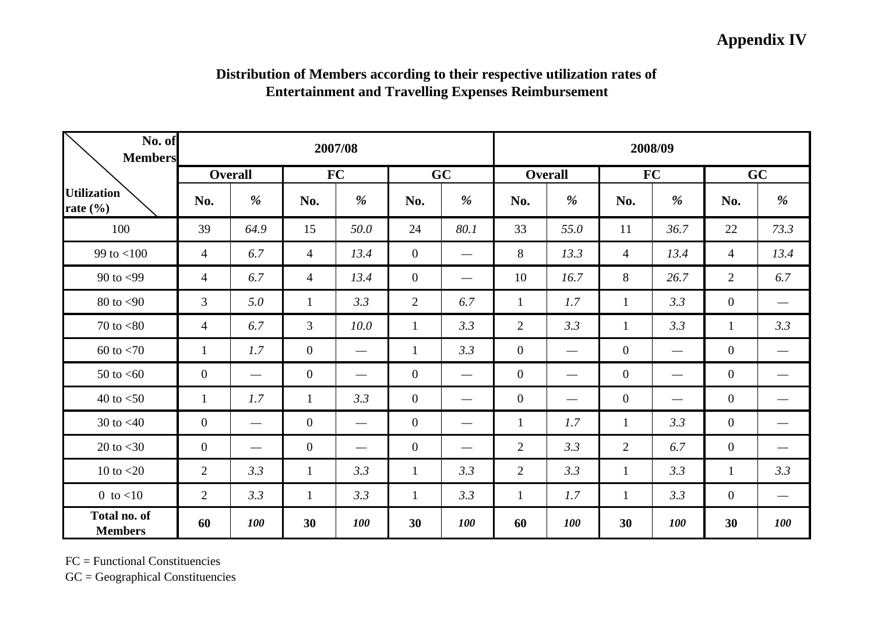# **Appendix IV**

| Distribution of Members according to their respective utilization rates of |  |
|----------------------------------------------------------------------------|--|
| <b>Entertainment and Travelling Expenses Reimbursement</b>                 |  |

| No. of<br><b>Members</b>           |                | 2007/08                         |                  |                                 |                | 2008/09                         |                |                   |                |                                 |                |                   |
|------------------------------------|----------------|---------------------------------|------------------|---------------------------------|----------------|---------------------------------|----------------|-------------------|----------------|---------------------------------|----------------|-------------------|
|                                    |                | <b>Overall</b>                  |                  | <b>FC</b>                       |                | GC                              |                | <b>Overall</b>    |                | <b>FC</b>                       |                | GC                |
| <b>Utilization</b><br>rate $(\% )$ | No.            | %                               | No.              | %                               | No.            | %                               | No.            | %                 | No.            | %                               | No.            | %                 |
| 100                                | 39             | 64.9                            | 15               | 50.0                            | 24             | 80.1                            | 33             | 55.0              | 11             | 36.7                            | 22             | 73.3              |
| 99 to $< 100$                      | $\overline{4}$ | 6.7                             | $\overline{4}$   | 13.4                            | $\overline{0}$ |                                 | 8              | 13.3              | $\overline{4}$ | 13.4                            | $\overline{4}$ | 13.4              |
| 90 to $<$ 99                       | $\overline{4}$ | 6.7                             | $\overline{4}$   | 13.4                            | $\overline{0}$ | $\hspace{0.1mm}-\hspace{0.1mm}$ | 10             | 16.7              | 8              | 26.7                            | $\overline{2}$ | 6.7               |
| $80$ to $<$ 90                     | 3              | 5.0                             | $\mathbf{1}$     | 3.3                             | $\overline{2}$ | 6.7                             | $\mathbf{1}$   | 1.7               | $\mathbf{1}$   | 3.3                             | $\overline{0}$ |                   |
| 70 to $< 80$                       | $\overline{4}$ | 6.7                             | 3                | 10.0                            | $\mathbf{1}$   | 3.3                             | $\overline{2}$ | 3.3               | $\mathbf{1}$   | 3.3                             | $\mathbf{1}$   | 3.3               |
| $60$ to $< 70$                     | $\mathbf{1}$   | 1.7                             | $\overline{0}$   | $\hspace{0.1mm}-\hspace{0.1mm}$ | $\mathbf{1}$   | 3.3                             | $\overline{0}$ | $\hspace{0.05cm}$ | $\overline{0}$ |                                 | $\overline{0}$ |                   |
| 50 to $<$ 60                       | $\overline{0}$ | $\hspace{0.1mm}-\hspace{0.1mm}$ | $\boldsymbol{0}$ | $\qquad \qquad$                 | $\overline{0}$ |                                 | $\overline{0}$ |                   | $\overline{0}$ | $\overbrace{\phantom{13333}}$   | $\overline{0}$ |                   |
| 40 to $<$ 50                       | $\mathbf{1}$   | 1.7                             | $\mathbf{1}$     | 3.3                             | $\overline{0}$ | $\hspace{0.1mm}-\hspace{0.1mm}$ | $\overline{0}$ | $\hspace{0.05cm}$ | $\overline{0}$ | $\hspace{0.1mm}-\hspace{0.1mm}$ | $\overline{0}$ |                   |
| 30 to $<$ 40                       | $\overline{0}$ | $\hspace{0.05cm}$               | $\overline{0}$   | $\hspace{0.05cm}$               | $\overline{0}$ |                                 | $\mathbf{1}$   | 1.7               | $\mathbf{1}$   | 3.3                             | $\overline{0}$ |                   |
| 20 to $<$ 30                       | $\overline{0}$ | $\hspace{0.05cm}$               | $\boldsymbol{0}$ | $\hspace{0.1mm}-\hspace{0.1mm}$ | $\overline{0}$ |                                 | $\overline{2}$ | 3.3               | 2              | 6.7                             | $\overline{0}$ |                   |
| 10 to $<$ 20                       | $\overline{2}$ | 3.3                             | $\mathbf{1}$     | 3.3                             | $\mathbf{1}$   | 3.3                             | $\overline{2}$ | 3.3               | $\mathbf{1}$   | 3.3                             | $\mathbf{1}$   | 3.3               |
| 0 to $<$ 10                        | $\overline{2}$ | 3.3                             | $\mathbf{1}$     | 3.3                             | $\mathbf{1}$   | 3.3                             | $\mathbf{1}$   | 1.7               | $\mathbf{1}$   | 3.3                             | $\mathbf{0}$   | $\hspace{0.05cm}$ |
| Total no. of<br><b>Members</b>     | 60             | 100                             | 30               | <b>100</b>                      | 30             | 100                             | 60             | <b>100</b>        | 30             | 100                             | 30             | <b>100</b>        |

FC = Functional Constituencies

GC = Geographical Constituencies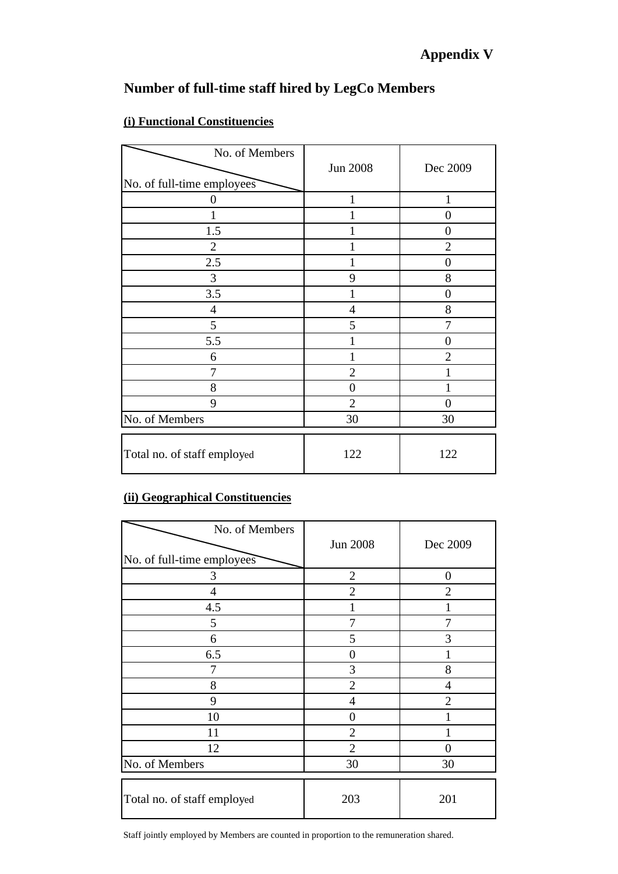# **Number of full-time staff hired by LegCo Members**

| No. of Members<br>No. of full-time employees | Jun 2008       | Dec 2009       |
|----------------------------------------------|----------------|----------------|
| 0                                            | 1              | 1              |
|                                              |                | $\theta$       |
| 1.5                                          |                | 0              |
| $\overline{2}$                               |                | $\overline{2}$ |
| 2.5                                          |                | 0              |
| 3                                            | 9              | 8              |
| 3.5                                          |                | $\theta$       |
| $\overline{4}$                               | $\overline{4}$ | 8              |
| 5                                            | 5              | 7              |
| 5.5                                          |                | $\Omega$       |
| 6                                            |                | $\overline{2}$ |
| 7                                            | $\overline{2}$ |                |
| 8                                            | $\overline{0}$ |                |
| 9                                            | $\overline{2}$ | 0              |
| No. of Members                               | 30             | 30             |
| Total no. of staff employed                  | 122            | 122            |

# **(i) Functional Constituencies**

# **(ii) Geographical Constituencies**

| No. of Members<br>No. of full-time employees | <b>Jun 2008</b> | Dec 2009         |
|----------------------------------------------|-----------------|------------------|
| 3                                            | $\overline{2}$  | $\boldsymbol{0}$ |
| 4                                            | $\overline{2}$  | 2                |
| 4.5                                          | 1               |                  |
| 5                                            | 7               | 7                |
| 6                                            | 5               | 3                |
| 6.5                                          | $\overline{0}$  |                  |
| 7                                            | 3               | 8                |
| 8                                            | $\overline{2}$  | $\overline{4}$   |
| 9                                            | 4               | $\overline{2}$   |
| 10                                           | 0               |                  |
| 11                                           | $\overline{2}$  |                  |
| 12                                           | $\overline{2}$  | 0                |
| No. of Members                               | 30              | 30               |
| Total no. of staff employed                  | 203             | 201              |

Staff jointly employed by Members are counted in proportion to the remuneration shared.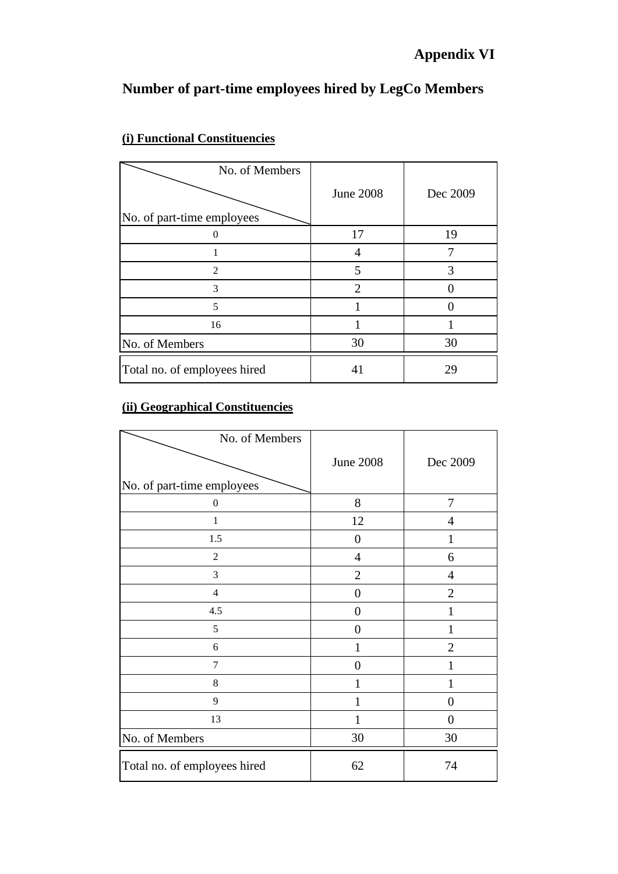# **Number of part-time employees hired by LegCo Members**

| No. of Members<br>No. of part-time employees | <b>June 2008</b> | Dec 2009 |
|----------------------------------------------|------------------|----------|
|                                              | 17               | 19       |
|                                              |                  |          |
| 2                                            | 5                | 3        |
| 3                                            | $\mathfrak{D}$   |          |
| 5                                            |                  |          |
| 16                                           |                  |          |
| No. of Members                               | 30               | 30       |
| Total no. of employees hired                 | 41               | 29       |

# **(i) Functional Constituencies**

# **(ii) Geographical Constituencies**

| No. of Members               | <b>June 2008</b> | Dec 2009       |
|------------------------------|------------------|----------------|
| No. of part-time employees   |                  |                |
| $\boldsymbol{0}$             | 8                | $\overline{7}$ |
| 1                            | 12               | $\overline{4}$ |
| 1.5                          | $\boldsymbol{0}$ | 1              |
| $\overline{2}$               | $\overline{4}$   | 6              |
| 3                            | $\overline{2}$   | $\overline{4}$ |
| $\overline{4}$               | $\overline{0}$   | $\overline{2}$ |
| 4.5                          | $\overline{0}$   | $\mathbf{1}$   |
| 5                            | $\overline{0}$   | $\mathbf{1}$   |
| 6                            | 1                | $\overline{2}$ |
| 7                            | $\boldsymbol{0}$ | $\mathbf{1}$   |
| $\,8\,$                      | 1                | $\mathbf{1}$   |
| 9                            | 1                | $\overline{0}$ |
| 13                           | 1                | $\overline{0}$ |
| No. of Members               | 30               | 30             |
| Total no. of employees hired | 62               | 74             |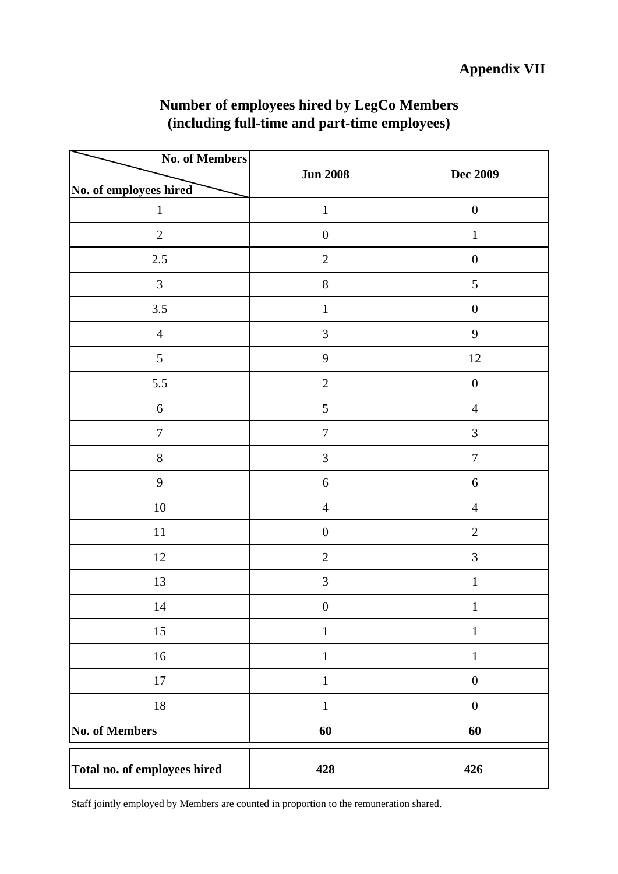| <b>No. of Members</b>                  |                  | <b>Dec 2009</b>              |  |
|----------------------------------------|------------------|------------------------------|--|
|                                        | <b>Jun 2008</b>  |                              |  |
| No. of employees hired<br>$\mathbf{1}$ | $\mathbf 1$      | $\boldsymbol{0}$             |  |
|                                        |                  |                              |  |
| $\overline{2}$                         | $\boldsymbol{0}$ | $\mathbf{1}$                 |  |
| $2.5\,$                                | $\mathbf{2}$     | $\boldsymbol{0}$             |  |
| 3                                      | 8                | $\sqrt{5}$                   |  |
| $3.5\,$                                | $\mathbf{1}$     | $\boldsymbol{0}$             |  |
| $\overline{4}$                         | 3                | 9                            |  |
| 5                                      | $\mathbf{9}$     | $12\,$                       |  |
| 5.5                                    | $\sqrt{2}$       | $\boldsymbol{0}$             |  |
| $\sqrt{6}$                             | $\mathfrak{S}$   | $\overline{4}$               |  |
| $\boldsymbol{7}$                       | $\sqrt{ }$       | $\mathfrak{Z}$               |  |
| $8\,$                                  | $\mathfrak{Z}$   | $\boldsymbol{7}$             |  |
| 9                                      | $\boldsymbol{6}$ | $\sqrt{6}$<br>$\overline{4}$ |  |
| $10\,$                                 | $\overline{4}$   |                              |  |
| 11                                     | $\boldsymbol{0}$ | $\sqrt{2}$                   |  |
| $12\,$                                 | $\overline{2}$   | $\mathfrak{Z}$               |  |
| 13                                     | $\overline{3}$   | $\mathbf 1$                  |  |
| 14                                     | $\boldsymbol{0}$ | $\mathbf{1}$                 |  |
| 15                                     | $\,1$            | $\mathbf{1}$                 |  |
| $16\,$                                 | $\mathbf{1}$     | $\mathbf{1}$                 |  |
| $17\,$                                 | $\mathbf{1}$     | $\boldsymbol{0}$             |  |
| $18\,$                                 | $\mathbf{1}$     | $\boldsymbol{0}$             |  |
| <b>No. of Members</b>                  | 60               | 60                           |  |
| Total no. of employees hired           | 428              | 426                          |  |

# **Number of employees hired by LegCo Members (including full-time and part-time employees)**

Staff jointly employed by Members are counted in proportion to the remuneration shared.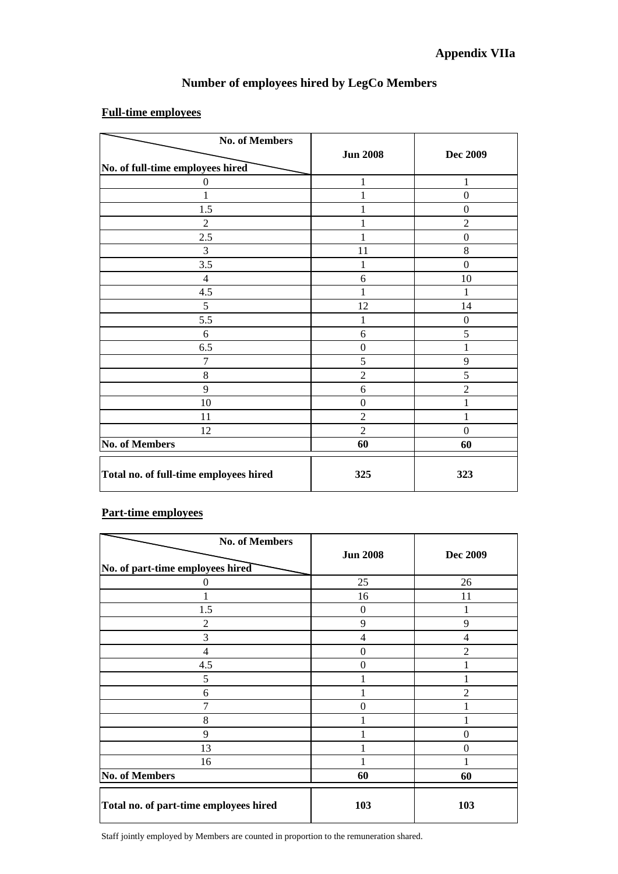### **Number of employees hired by LegCo Members**

#### **Full-time employees**

| <b>No. of Members</b>                  |                  |                  |
|----------------------------------------|------------------|------------------|
|                                        | <b>Jun 2008</b>  | <b>Dec 2009</b>  |
| No. of full-time employees hired       |                  |                  |
| $\theta$                               | 1                | 1                |
|                                        |                  | $\boldsymbol{0}$ |
| 1.5                                    |                  | $\boldsymbol{0}$ |
| $\overline{2}$                         |                  | $\overline{2}$   |
| 2.5                                    |                  | $\boldsymbol{0}$ |
| 3                                      | 11               | 8                |
| 3.5                                    | 1                | $\boldsymbol{0}$ |
| $\overline{4}$                         | 6                | 10               |
| 4.5                                    |                  |                  |
| 5                                      | 12               | 14               |
| 5.5                                    | 1                | $\boldsymbol{0}$ |
| 6                                      | 6                | 5                |
| 6.5                                    | $\boldsymbol{0}$ |                  |
| 7                                      | 5                | 9                |
| 8                                      | $\overline{c}$   | 5                |
| 9                                      | 6                | $\overline{2}$   |
| 10                                     | $\boldsymbol{0}$ | 1                |
| 11                                     | $\overline{c}$   | 1                |
| 12                                     | $\overline{2}$   | $\mathbf{0}$     |
| <b>No. of Members</b>                  | 60               | 60               |
| Total no. of full-time employees hired | 325              | 323              |

#### **Part-time employees**

| <b>No. of Members</b>                  |                 |                 |
|----------------------------------------|-----------------|-----------------|
|                                        | <b>Jun 2008</b> | <b>Dec 2009</b> |
| No. of part-time employees hired       |                 |                 |
| 0                                      | 25              | 26              |
|                                        | 16              | 11              |
| 1.5                                    | $\theta$        | 1               |
| 2                                      | 9               | 9               |
| 3                                      | $\overline{4}$  | 4               |
| 4                                      | 0               | $\overline{2}$  |
| 4.5                                    | 0               |                 |
| 5                                      |                 |                 |
| 6                                      |                 | $\mathfrak{D}$  |
| 7                                      | $\theta$        |                 |
| 8                                      |                 |                 |
| 9                                      |                 | $\theta$        |
| 13                                     |                 | $\theta$        |
| 16                                     |                 |                 |
| <b>No. of Members</b>                  | 60              | 60              |
| Total no. of part-time employees hired | 103             | 103             |

Staff jointly employed by Members are counted in proportion to the remuneration shared.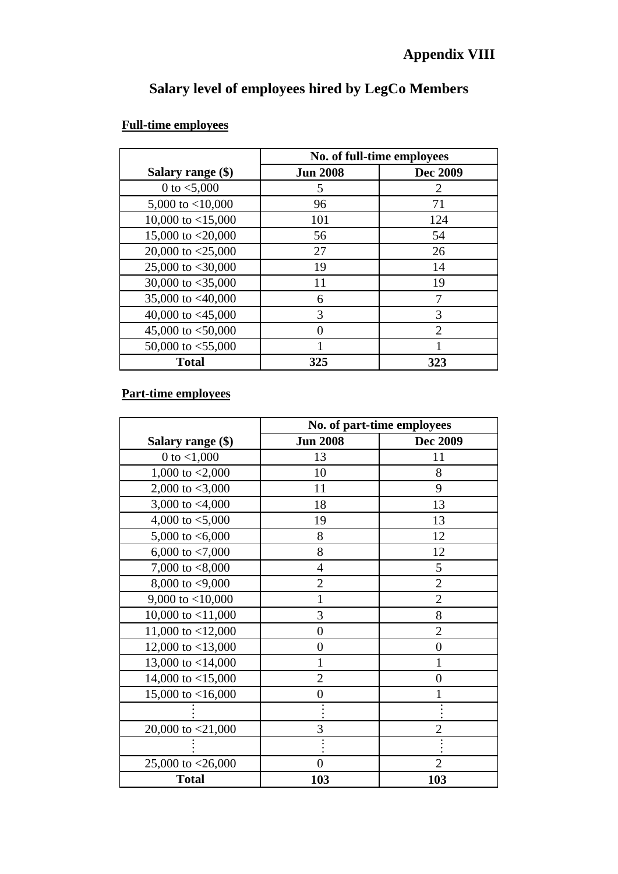# **Salary level of employees hired by LegCo Members**

# **Full-time employees**

|                        | No. of full-time employees  |                             |  |  |
|------------------------|-----------------------------|-----------------------------|--|--|
| Salary range (\$)      | <b>Jun 2008</b><br>Dec 2009 |                             |  |  |
| 0 to $< 5,000$         | 5                           | 2                           |  |  |
| 5,000 to $<$ 10,000    | 96                          | 71                          |  |  |
| 10,000 to $\lt$ 15,000 | 101                         | 124                         |  |  |
| 15,000 to $<$ 20,000   | 56                          | 54                          |  |  |
| 20,000 to $<$ 25,000   | 27                          | 26                          |  |  |
| 25,000 to $<$ 30,000   | 19                          | 14                          |  |  |
| 30,000 to $<$ 35,000   | 11                          | 19                          |  |  |
| 35,000 to $<40,000$    | 6                           | 7                           |  |  |
| 40,000 to $<45,000$    | 3                           | 3                           |  |  |
| 45,000 to $<$ 50,000   |                             | $\mathcal{D}_{\mathcal{L}}$ |  |  |
| 50,000 to $<$ 55,000   |                             |                             |  |  |
| <b>Total</b>           | 325<br>323                  |                             |  |  |

# **Part-time employees**

|                      | No. of part-time employees |                |  |  |
|----------------------|----------------------------|----------------|--|--|
| Salary range (\$)    | <b>Jun 2008</b>            | Dec 2009       |  |  |
| 0 to $< 1,000$       | 13                         | 11             |  |  |
| 1,000 to $< 2,000$   | 10                         | 8              |  |  |
| 2,000 to $<$ 3,000   | 11                         | 9              |  |  |
| 3,000 to $<$ 4,000   | 18                         | 13             |  |  |
| 4,000 to $< 5,000$   | 19                         | 13             |  |  |
| 5,000 to $<6,000$    | 8                          | 12             |  |  |
| 6,000 to $< 7,000$   | 8                          | 12             |  |  |
| 7,000 to $< 8,000$   | $\overline{4}$             | 5              |  |  |
| 8,000 to $<$ 9,000   | $\overline{2}$             | $\overline{2}$ |  |  |
| 9,000 to $<$ 10,000  |                            | $\overline{2}$ |  |  |
| 10,000 to $<$ 11,000 | 3                          | 8              |  |  |
| 11,000 to $<$ 12,000 | $\overline{0}$             | $\overline{2}$ |  |  |
| 12,000 to $<$ 13,000 | 0                          | $\overline{0}$ |  |  |
| 13,000 to $<$ 14,000 |                            |                |  |  |
| 14,000 to $<$ 15,000 | 2                          | 0              |  |  |
| 15,000 to $<$ 16,000 | 0                          |                |  |  |
|                      |                            |                |  |  |
| 20,000 to $<$ 21,000 | 3                          |                |  |  |
|                      |                            |                |  |  |
| 25,000 to $<$ 26,000 | $\overline{0}$             | $\overline{2}$ |  |  |
| <b>Total</b>         | 103                        | 103            |  |  |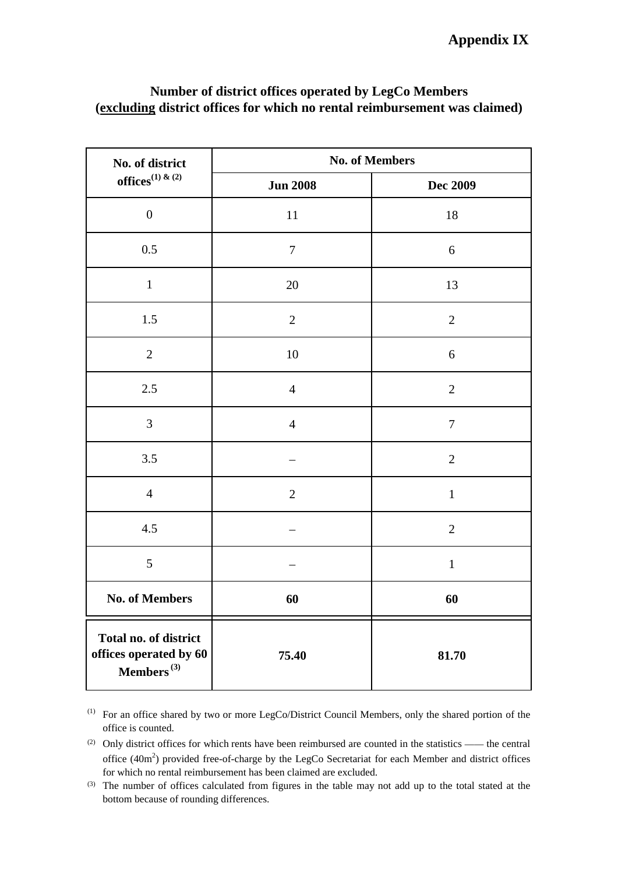# **Appendix IX**

| No. of district                                                     | <b>No. of Members</b> |                 |  |
|---------------------------------------------------------------------|-----------------------|-----------------|--|
| offices <sup>(1)</sup> & (2)                                        | <b>Jun 2008</b>       | <b>Dec 2009</b> |  |
| $\boldsymbol{0}$                                                    | 11                    | 18              |  |
| 0.5                                                                 | $\overline{7}$        | 6               |  |
| $\mathbf{1}$                                                        | 20                    | 13              |  |
| $1.5\,$                                                             | $\overline{2}$        | $\overline{2}$  |  |
| $\overline{2}$                                                      | $10\,$                | 6               |  |
| 2.5                                                                 | $\overline{4}$        | $\mathbf{2}$    |  |
| 3                                                                   | $\overline{4}$        | $\overline{7}$  |  |
| 3.5                                                                 |                       | $\overline{2}$  |  |
| $\overline{4}$                                                      | $\overline{2}$        | $\mathbf 1$     |  |
| 4.5                                                                 |                       | $\overline{2}$  |  |
| 5                                                                   |                       | $\mathbf{1}$    |  |
| <b>No. of Members</b>                                               | 60                    | 60              |  |
| Total no. of district<br>offices operated by 60<br>Members $^{(3)}$ | 75.40                 | 81.70           |  |

# **Number of district offices operated by LegCo Members (excluding district offices for which no rental reimbursement was claimed)**

<sup>(1)</sup> For an office shared by two or more LegCo/District Council Members, only the shared portion of the office is counted.

 $(2)$  Only district offices for which rents have been reimbursed are counted in the statistics —— the central office  $(40m<sup>2</sup>)$  provided free-of-charge by the LegCo Secretariat for each Member and district offices for which no rental reimbursement has been claimed are excluded.

<sup>&</sup>lt;sup>(3)</sup> The number of offices calculated from figures in the table may not add up to the total stated at the bottom because of rounding differences.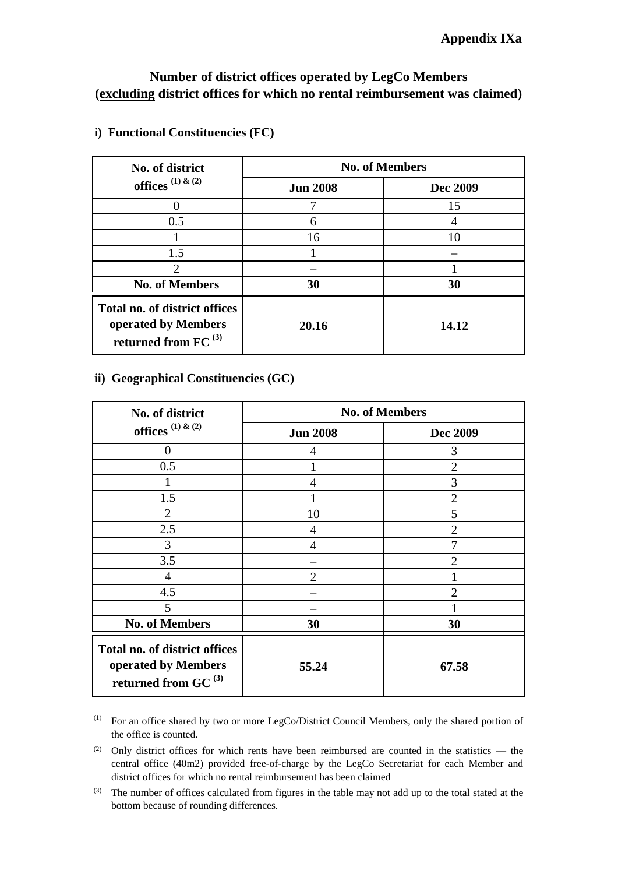## **Number of district offices operated by LegCo Members (excluding district offices for which no rental reimbursement was claimed)**

| No. of district                                                                   | <b>No. of Members</b> |          |  |
|-----------------------------------------------------------------------------------|-----------------------|----------|--|
| offices $(1)$ & $(2)$                                                             | <b>Jun 2008</b>       | Dec 2009 |  |
|                                                                                   |                       | 15       |  |
| 0.5                                                                               | 6                     |          |  |
|                                                                                   | 16                    |          |  |
| 1.5                                                                               |                       |          |  |
| $\overline{2}$                                                                    |                       |          |  |
| <b>No. of Members</b>                                                             | 30                    | 30       |  |
| Total no. of district offices<br>operated by Members<br>returned from FC $^{(3)}$ | 20.16                 | 14.12    |  |

### **i) Functional Constituencies (FC)**

#### **ii) Geographical Constituencies (GC)**

| No. of district                                                                   | <b>No. of Members</b> |                |  |
|-----------------------------------------------------------------------------------|-----------------------|----------------|--|
| offices $(1)$ & $(2)$                                                             | <b>Jun 2008</b>       | Dec 2009       |  |
| 0                                                                                 | 4                     | 3              |  |
| 0.5                                                                               |                       | $\overline{2}$ |  |
|                                                                                   | 4                     | 3              |  |
| 1.5                                                                               |                       | $\overline{2}$ |  |
| $\overline{2}$                                                                    | 10                    | 5              |  |
| 2.5                                                                               | 4                     | $\mathfrak{D}$ |  |
| 3                                                                                 | $\overline{4}$        |                |  |
| 3.5                                                                               |                       | 2              |  |
| $\overline{4}$                                                                    | 2                     |                |  |
| 4.5                                                                               |                       | 7              |  |
| 5                                                                                 |                       |                |  |
| <b>No. of Members</b>                                                             | 30                    | 30             |  |
| Total no. of district offices<br>operated by Members<br>returned from GC $^{(3)}$ | 55.24                 | 67.58          |  |

<sup>(1)</sup> For an office shared by two or more LegCo/District Council Members, only the shared portion of the office is counted.

<sup>(2)</sup> Only district offices for which rents have been reimbursed are counted in the statistics — the central office (40m2) provided free-of-charge by the LegCo Secretariat for each Member and district offices for which no rental reimbursement has been claimed

 $(3)$  The number of offices calculated from figures in the table may not add up to the total stated at the bottom because of rounding differences.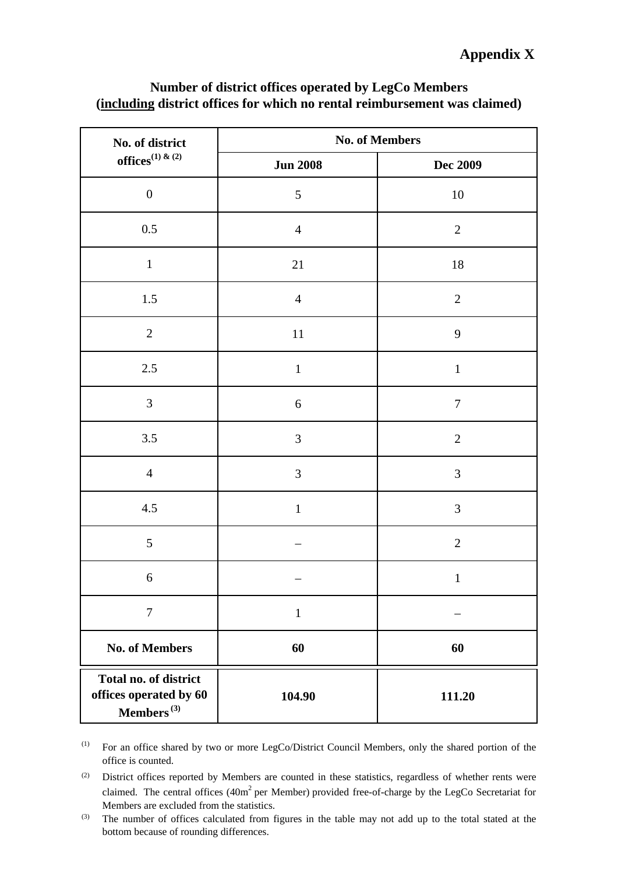# **Appendix X**

| No. of district                                                     | <b>No. of Members</b> |                  |  |
|---------------------------------------------------------------------|-----------------------|------------------|--|
| offices <sup>(1) &amp; (2)</sup>                                    | <b>Jun 2008</b>       | Dec 2009         |  |
| $\boldsymbol{0}$                                                    | $\mathfrak{S}$        | $10\,$           |  |
| $0.5\,$                                                             | $\overline{4}$        | $\mathbf{2}$     |  |
| $\mathbf{1}$                                                        | 21                    | $18\,$           |  |
| 1.5                                                                 | $\overline{4}$        | $\overline{2}$   |  |
| $\mathbf{2}$                                                        | $11\,$                | $\mathbf{9}$     |  |
| $2.5\,$                                                             | $\,1\,$               | $\,1\,$          |  |
| $\mathfrak{Z}$                                                      | $\boldsymbol{6}$      | $\boldsymbol{7}$ |  |
| 3.5                                                                 | $\mathfrak{Z}$        | $\mathbf{2}$     |  |
| $\overline{4}$                                                      | 3                     | 3                |  |
| 4.5                                                                 | $\mathbf 1$           | $\mathfrak{Z}$   |  |
| $\sqrt{5}$                                                          |                       | $\sqrt{2}$       |  |
| 6                                                                   |                       | $\,1$            |  |
| $\tau$                                                              | $\mathbf{1}$          |                  |  |
| <b>No. of Members</b>                                               | 60                    | 60               |  |
| Total no. of district<br>offices operated by 60<br>Members $^{(3)}$ | 104.90                | 111.20           |  |

# **Number of district offices operated by LegCo Members (including district offices for which no rental reimbursement was claimed)**

(1) For an office shared by two or more LegCo/District Council Members, only the shared portion of the office is counted.

(2) District offices reported by Members are counted in these statistics, regardless of whether rents were claimed. The central offices (40m<sup>2</sup> per Member) provided free-of-charge by the LegCo Secretariat for Members are excluded from the statistics.

(3) The number of offices calculated from figures in the table may not add up to the total stated at the bottom because of rounding differences.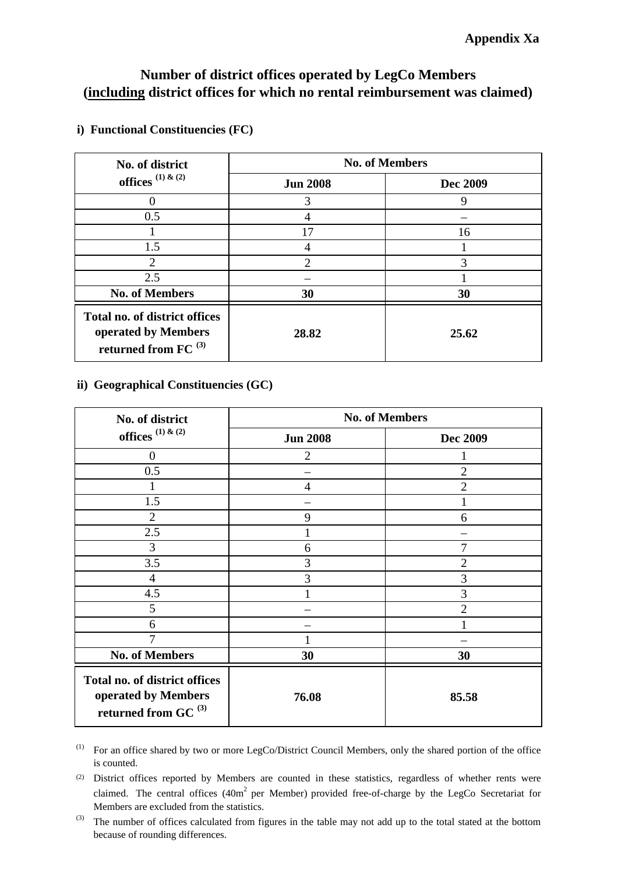# **Number of district offices operated by LegCo Members (including district offices for which no rental reimbursement was claimed)**

| No. of district                                                                   | <b>No. of Members</b> |          |  |
|-----------------------------------------------------------------------------------|-----------------------|----------|--|
| offices $(1)$ & $(2)$                                                             | <b>Jun 2008</b>       | Dec 2009 |  |
|                                                                                   | 3                     | 9        |  |
| 0.5                                                                               |                       |          |  |
|                                                                                   | 17                    | 16       |  |
| 1.5                                                                               |                       |          |  |
| 2                                                                                 | $\overline{2}$        | 3        |  |
| 2.5                                                                               |                       |          |  |
| <b>No. of Members</b>                                                             | 30                    | 30       |  |
| Total no. of district offices<br>operated by Members<br>returned from FC $^{(3)}$ | 28.82                 | 25.62    |  |

#### **i) Functional Constituencies (FC)**

#### **ii) Geographical Constituencies (GC)**

| No. of district                                                                         | <b>No. of Members</b> |                 |  |
|-----------------------------------------------------------------------------------------|-----------------------|-----------------|--|
| offices $(1)$ & $(2)$                                                                   | <b>Jun 2008</b>       | <b>Dec 2009</b> |  |
| $\Omega$                                                                                | 2                     |                 |  |
| 0.5                                                                                     |                       | $\overline{2}$  |  |
|                                                                                         | 4                     | $\overline{2}$  |  |
| 1.5                                                                                     |                       |                 |  |
| $\overline{2}$                                                                          | 9                     | 6               |  |
| 2.5                                                                                     |                       |                 |  |
| 3                                                                                       | 6                     | 7               |  |
| 3.5                                                                                     | 3                     | $\overline{2}$  |  |
| $\overline{4}$                                                                          | 3                     | 3               |  |
| 4.5                                                                                     |                       | 3               |  |
| 5                                                                                       |                       | 2               |  |
| 6                                                                                       |                       |                 |  |
| 7                                                                                       |                       |                 |  |
| <b>No. of Members</b>                                                                   | 30                    | 30              |  |
| Total no. of district offices<br>operated by Members<br>returned from GC <sup>(3)</sup> | 76.08                 | 85.58           |  |

<sup>(1)</sup> For an office shared by two or more LegCo/District Council Members, only the shared portion of the office is counted.

<sup>(2)</sup> District offices reported by Members are counted in these statistics, regardless of whether rents were claimed. The central offices (40m<sup>2</sup> per Member) provided free-of-charge by the LegCo Secretariat for Members are excluded from the statistics.

 $^{(3)}$  The number of offices calculated from figures in the table may not add up to the total stated at the bottom because of rounding differences.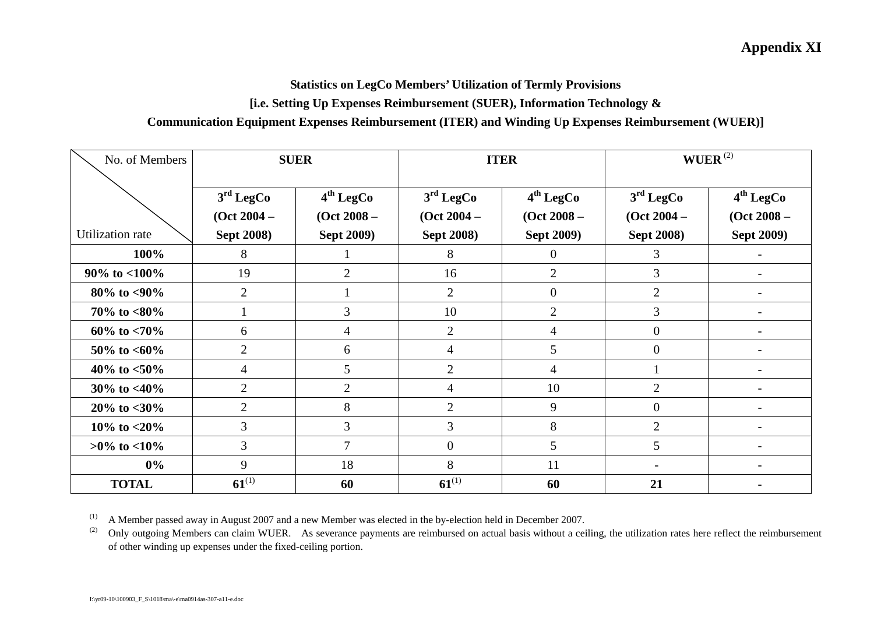## **Appendix XI**

#### **Statistics on LegCo Members' Utilization of Termly Provisions**

#### **[i.e. Setting Up Expenses Reimbursement (SUER), Information Technology &**

#### **Communication Equipment Expenses Reimbursement (ITER) and Winding Up Expenses Reimbursement (WUER)]**

| No. of Members          |                                        | <b>SUER</b>                            |                                        | <b>ITER</b>                            |                                        | $WUER$ <sup>(2)</sup>                  |
|-------------------------|----------------------------------------|----------------------------------------|----------------------------------------|----------------------------------------|----------------------------------------|----------------------------------------|
|                         | 3 <sup>rd</sup> LegCo<br>$(Oct 2004 -$ | 4 <sup>th</sup> LegCo<br>$(Oct 2008 -$ | 3 <sup>rd</sup> LegCo<br>$(Oct 2004 -$ | 4 <sup>th</sup> LegCo<br>$(Oct 2008 -$ | 3 <sup>rd</sup> LegCo<br>$(Oct 2004 -$ | 4 <sup>th</sup> LegCo<br>$(Oct 2008 -$ |
| <b>Utilization</b> rate | <b>Sept 2008)</b>                      | <b>Sept 2009)</b>                      | <b>Sept 2008)</b>                      | <b>Sept 2009)</b>                      | <b>Sept 2008)</b>                      | <b>Sept 2009)</b>                      |
| 100%                    | 8                                      |                                        | 8                                      | $\theta$                               | 3                                      |                                        |
| $90\%$ to $<$ 100%      | 19                                     | $\overline{2}$                         | 16                                     | $\overline{2}$                         | $\overline{3}$                         |                                        |
| $80\%$ to $<90\%$       | $\overline{2}$                         |                                        | $\overline{2}$                         | $\overline{0}$                         | $\overline{2}$                         |                                        |
| 70% to $<80\%$          |                                        | 3                                      | 10                                     | $\overline{2}$                         | 3                                      |                                        |
| 60\% to $< 70\%$        | 6                                      | 4                                      | $\overline{2}$                         | $\overline{4}$                         | $\overline{0}$                         |                                        |
| 50\% to $<60\%$         | $\overline{2}$                         | 6                                      | $\overline{4}$                         | 5                                      | $\overline{0}$                         |                                        |
| 40\% to $<$ 50\%        | 4                                      | 5                                      | $\overline{2}$                         | $\overline{4}$                         |                                        |                                        |
| 30% to $<40\%$          | $\overline{2}$                         | $\overline{2}$                         | 4                                      | 10                                     | $\overline{2}$                         |                                        |
| $20\%$ to $<$ 30%       | $\overline{2}$                         | 8                                      | $\overline{2}$                         | 9                                      | $\overline{0}$                         | $\overline{\phantom{0}}$               |
| 10\% to $<$ 20\%        | 3                                      | $\overline{3}$                         | 3                                      | 8                                      | $\overline{2}$                         | $\overline{a}$                         |
| $>0\%$ to $<10\%$       | 3                                      | $\overline{7}$                         | $\boldsymbol{0}$                       | 5                                      | 5                                      | $\overline{a}$                         |
| $0\%$                   | 9                                      | 18                                     | 8                                      | 11                                     |                                        |                                        |
| <b>TOTAL</b>            | $61^{(1)}$                             | 60                                     | $61^{(1)}$                             | 60                                     | 21                                     |                                        |

(1) A Member passed away in August 2007 and a new Member was elected in the by-election held in December 2007.

<sup>(2)</sup> Only outgoing Members can claim WUER. As severance payments are reimbursed on actual basis without a ceiling, the utilization rates here reflect the reimbursement of other winding up expenses under the fixed-ceiling portion.